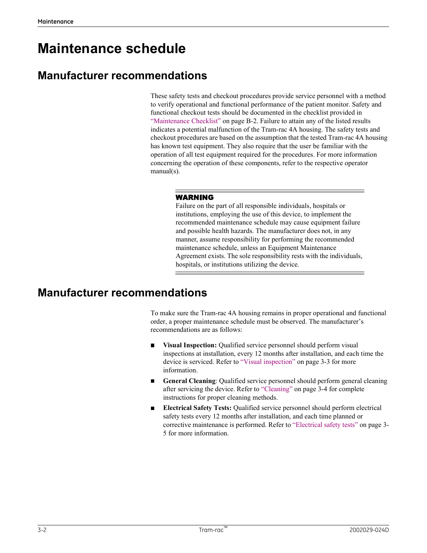# Maintenance schedule

## Manufacturer recommendations

These safety tests and checkout procedures provide service personnel with a method to verify operational and functional performance of the patient monitor. Safety and functional checkout tests should be documented in the checklist provided in **Colume Control Control Control Control Control Control Control Control Control Control Control Control Control Control Control Control Control Control Control Control Control Control Control Control Control Control Contro** indicates a potential malfunction of the Tram-rac 4A housing. The safety tests and checkout procedures are based on the assumption that the tested Tram-rac 4A housing has known test equipment. They also require that the user be familiar with the operation of all test equipment required for the procedures. For more information concerning the operation of these components, refer to the respective operator manual(s).

#### WARNING

Failure on the part of all responsible individuals, hospitals or institutions, employing the use of this device, to implement the recommended maintenance schedule may cause equipment failure and possible health hazards. The manufacturer does not, in any manner, assume responsibility for performing the recommended maintenance schedule, unless an Equipment Maintenance Agreement exists. The sole responsibility rests with the individuals, hospitals, or institutions utilizing the device. **WARNING**<br> **WARNING**<br> **Failure on the part of all responsible individuals, hospitals or**<br> **Institutions, employing the use of this device, to implement the<br>
recommended maintenance schedule may cause equipernat failure<br>
an** Extractions, employing the use of this device, to implement the<br>recommended maintenance schedule may cause equipernent fralue<br>and possible health hazards. The manufacturer does not, in any<br>manner, assume responsibility fo

## Manufacturer recommendations

To make sure the Tram-rac 4A housing remains in proper operational and functional order, a proper maintenance schedule must be observed. The manufacturer's recommendations are as follows:

- Visual Inspection: Qualified service personnel should perform visual inspections at installation, every 12 months after installation, and each time the information.
- General Cleaning: Qualified service personnel should perform general cleaning instructions for proper cleaning methods.
- inspections at installation, every 12 months after installation, and each time the divisor is serviced. Refer to "Visual inspection" on page 3-3 for more<br>information.<br>
<br> **Concretal Cleaning:** Qualified service personnel sh Electrical Safety Tests: Qualified service personnel should perform electrical safety tests every 12 months after installation, and each time planned or maintenance schedule, unless an Equipment Maintenance<br>Agreement exists. The sole responsibility rests with the individuals,<br>hospitals, or institutions utilizing the device.<br>**Correction**<br>and same sure the Tram-rac 4A housin 5 for more information.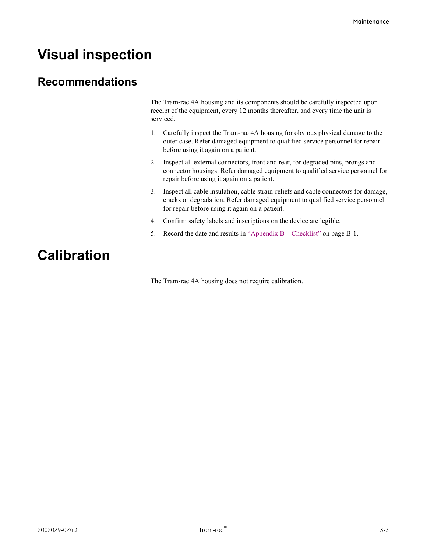# Visual inspection

## Recommendations

The Tram-rac 4A housing and its components should be carefully inspected upon receipt of the equipment, every 12 months thereafter, and every time the unit is serviced.

- Mointenance<br>
1. Carefully inspected upon<br>
1. Carefully inspected upon<br>
1. Carefully inspect the Tram-rac 4A housing for obvious physical damage to the<br>
1. Carefully inspect the Tram-rac 4A housing for obvious physical dama outer case. Refer damaged equipment to qualified service personnel for repair before using it again on a patient.
- Mointenance<br>
2. Inspected the ram-race 4A housing and its components should be carefully inspected upon<br>
receipt of the equipment, every 12 months thereafter, and every time the unit is<br>
serviced.<br>
1. Carefully inspect the connector housings. Refer damaged equipment to qualified service personnel for repair before using it again on a patient. Mointenance<br>
3. Inspected the Crimerian and its components should be carefully inspected upon<br>
receipt of the equipment, every 12 months thereafter, and every time the unit is<br>
serviced.<br>
1. Carefully inspect the Tram-rac The Tram-rac 4A housing and its components should be carefully inspected upon reccipt of the equipment, every 12 months thereafter, and every time the unit is serviced.<br>
1. Carefully inspect the Tram-rac 4A housing for obv 1. The Tram-rac 4A housing and its components should be carefully inspected upon<br>receipt of the equipment, every 12 months thereafter, and every time the unit is<br>serviced.<br>1. Carefully inspect the Tram-rac 4A housing for o
- cracks or degradation. Refer damaged equipment to qualified service personnel for repair before using it again on a patient.
- 
- 

## Calibration

The Tram-rac 4A housing does not require calibration.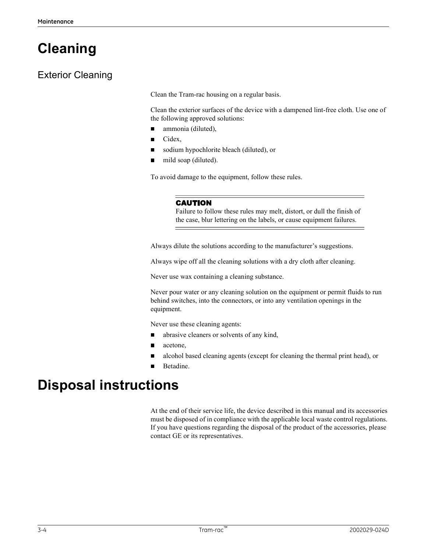# Cleaning

## Exterior Cleaning

Clean the Tram-rac housing on a regular basis.

Clean the exterior surfaces of the device with a dampened lint-free cloth. Use one of the following approved solutions:

- ammonia (diluted),
- Cidex,
- sodium hypochlorite bleach (diluted), or
- mild soap (diluted).

To avoid damage to the equipment, follow these rules.

#### CAUTION

Failure to follow these rules may melt, distort, or dull the finish of the case, blur lettering on the labels, or cause equipment failures.

Always dilute the solutions according to the manufacturer's suggestions.

Always wipe off all the cleaning solutions with a dry cloth after cleaning.

Never use wax containing a cleaning substance.

Never pour water or any cleaning solution on the equipment or permit fluids to run behind switches, into the connectors, or into any ventilation openings in the equipment.

Never use these cleaning agents:

- abrasive cleaners or solvents of any kind,
- acetone,
- alcohol based cleaning agents (except for cleaning the thermal print head), or
- Betadine.

## Disposal instructions

■ alcohol hased cleaning agents (except for cleaning the thermal print head), or<br>
■ Betadine.<br>
A the end of their service life, the device described in this manual and its accessories<br>
A the end of their service life, the At the end of their service life, the device described in this manual and its accessories must be disposed of in compliance with the applicable local waste control regulations. If you have questions regarding the disposal of the product of the accessories, please contact GE or its representatives.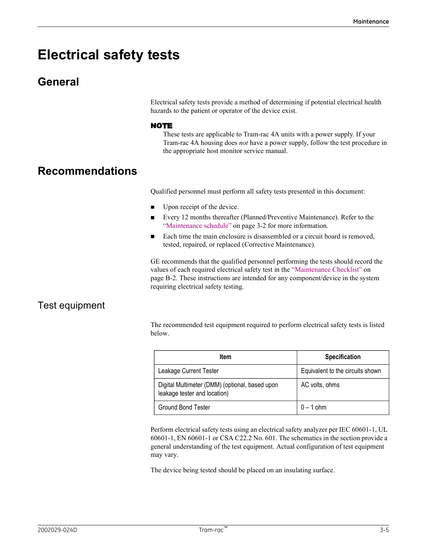# Electrical safety tests

## General

Electrical safety tests provide a method of determining if potential electrical health hazards to the patient or operator of the device exist.

### NOTE

These tests are applicable to Tram-rac 4A units with a power supply. If your Tram-rac 4A housing does not have a power supply, follow the test procedure in the appropriate host monitor service manual. **STS**<br> **STS**<br> **These tests provide a method of determining if potential electrical health**<br> **These tests are applicable to Tram-rac 4A units with a power supply. If your<br>
Tram-rac 4A housing does** *not* **have a power supply,** 

## Recommendations

- Upon receipt of the device.
- Every 12 months thereafter (Planned/Preventive Maintenance). Refer to the
- Each time the main enclosure is disassembled or a circuit board is removed, tested, repaired, or replaced (Corrective Maintenance).

GE recommends that the qualified personnel performing the tests should record the values of each required electrical safety test in the "Maintenance Checklist" on Electrical safety tests provide a method of determining if potential electrical health<br>hazards to the patient or operator of the device exist.<br> **NOTE**<br>
These tests are applicable to Tram-rac 4A units with a power supply, requiring electrical safety testing.

### Test equipment

| <b>טושטאטושוויטט</b> אז |                                                                                                                                                                                                                                                                                                                                                        |                                  |
|-------------------------|--------------------------------------------------------------------------------------------------------------------------------------------------------------------------------------------------------------------------------------------------------------------------------------------------------------------------------------------------------|----------------------------------|
|                         | Qualified personnel must perform all safety tests presented in this document:                                                                                                                                                                                                                                                                          |                                  |
|                         | Upon receipt of the device.<br>П                                                                                                                                                                                                                                                                                                                       |                                  |
|                         | Every 12 months thereafter (Planned/Preventive Maintenance). Refer to the<br>$\blacksquare$<br>"Maintenance schedule" on page 3-2 for more information.                                                                                                                                                                                                |                                  |
|                         | Each time the main enclosure is disassembled or a circuit board is removed,<br>$\blacksquare$<br>tested, repaired, or replaced (Corrective Maintenance).                                                                                                                                                                                               |                                  |
|                         | GE recommends that the qualified personnel performing the tests should record the<br>values of each required electrical safety test in the "Maintenance Checklist" on<br>page B-2. These instructions are intended for any component/device in the system<br>requiring electrical safety testing.                                                      |                                  |
| Test equipment          |                                                                                                                                                                                                                                                                                                                                                        |                                  |
|                         | The recommended test equipment required to perform electrical safety tests is listed<br>below.                                                                                                                                                                                                                                                         |                                  |
|                         | Item                                                                                                                                                                                                                                                                                                                                                   | Specification                    |
|                         | Leakage Current Tester                                                                                                                                                                                                                                                                                                                                 | Equivalent to the circuits shown |
|                         | Digital Multimeter (DMM) (optional, based upon<br>leakage tester and location)                                                                                                                                                                                                                                                                         | AC volts, ohms                   |
|                         | Ground Bond Tester                                                                                                                                                                                                                                                                                                                                     | $0 - 1$ ohm                      |
|                         | Perform electrical safety tests using an electrical safety analyzer per IEC 60601-1, UL<br>60601-1, EN 60601-1 or CSA C22.2 No. 601. The schematics in the section provide a<br>general understanding of the test equipment. Actual configuration of test equipment<br>may vary.<br>The device being tested should be placed on an insulating surface. |                                  |
|                         |                                                                                                                                                                                                                                                                                                                                                        |                                  |
| 2002029-024D            | Tram-rac™                                                                                                                                                                                                                                                                                                                                              | $3 - 5$                          |
|                         |                                                                                                                                                                                                                                                                                                                                                        |                                  |
|                         |                                                                                                                                                                                                                                                                                                                                                        |                                  |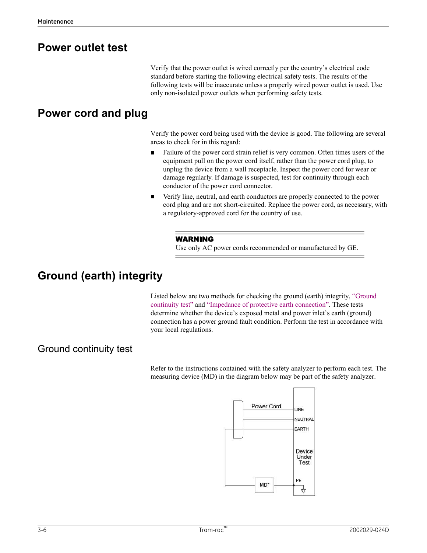## Power outlet test

Verify that the power outlet is wired correctly per the country's electrical code standard before starting the following electrical safety tests. The results of the following tests will be inaccurate unless a properly wired power outlet is used. Use only non-isolated power outlets when performing safety tests.

## Power cord and plug

Verify the power cord being used with the device is good. The following are several areas to check for in this regard:

- Failure of the power cord strain relief is very common. Often times users of the  $\blacksquare$ equipment pull on the power cord itself, rather than the power cord plug, to unplug the device from a wall receptacle. Inspect the power cord for wear or damage regularly. If damage is suspected, test for continuity through each conductor of the power cord connector.
- Verify line, neutral, and earth conductors are properly connected to the power  $\blacksquare$ cord plug and are not short-circuited. Replace the power cord, as necessary, with a regulatory-approved cord for the country of use.

### WARNING

Use only AC power cords recommended or manufactured by GE.

## Ground (earth) integrity

Listed below are two methods for checking the ground (earth) integrity, "Ground continuity test" and "Impedance of protective earth connection". These tests determine whether the device's exposed metal and power inlet's earth (ground) connection has a power ground fault condition. Perform the test in accordance with your local regulations.

### Ground continuity test

Refer to the instructions contained with the safety analyzer to perform each test. The measuring device (MD) in the diagram below may be part of the safety analyzer.

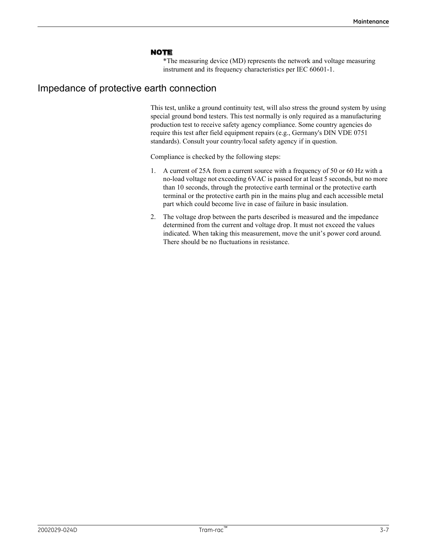#### NOTE

\*The measuring device (MD) represents the network and voltage measuring instrument and its frequency characteristics per IEC 60601-1.

### Impedance of protective earth connection

This test, unlike a ground continuity test, will also stress the ground system by using special ground bond testers. This test normally is only required as a manufacturing production test to receive safety agency compliance. Some country agencies do require this test after field equipment repairs (e.g., Germany's DIN VDE 0751 standards). Consult your country/local safety agency if in question. **NOTE**<br> **The measuring device (MD) represents the network and voltage measuring<br>
"The measuring device (MD) represents the network and voltage measuring<br>
This test, unlike a ground continuity test, will also stress the gr NOTE**<br>
\*The measuring device (MD) represents the network and voltage measuring<br>
instrument and its frequency characteristics per IEC 60601-1.<br> **2. The voltage drop drop drop between the control of the impedance of the pa** 

Compliance is checked by the following steps:

- no-load voltage not exceeding 6VAC is passed for at least 5 seconds, but no more than 10 seconds, through the protective earth terminal or the protective earth terminal or the protective earth pin in the mains plug and each accessible metal part which could become live in case of failure in basic insulation.
- determined from the current and voltage drop. It must not exceed the values indicated. When taking this measurement, move the unit's power cord around. There should be no fluctuations in resistance.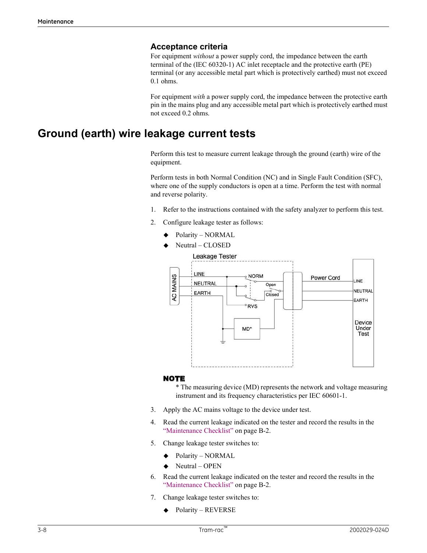### Acceptance criteria

For equipment without a power supply cord, the impedance between the earth terminal of the (IEC 60320-1) AC inlet receptacle and the protective earth (PE) terminal (or any accessible metal part which is protectively earthed) must not exceed 0.1 ohms. **Acceptance criteria**<br>
For equipment *without* a power supply cord, the impedance between the earth<br>
terminal of the (IEC 60320-1) AC inlet receptacle and the protective carth (PE)<br>
terminal (or any accessible metal part **Acceptance criteria**<br>
For equipment *without* a power supply cord, the impedance between the earth<br>
terminal of the (IEC 60320-1) AC inlet receptacle and the protective earth (PE)<br>
terminal (or any accessible metal part

For equipment with a power supply cord, the impedance between the protective earth pin in the mains plug and any accessible metal part which is protectively earthed must not exceed 0.2 ohms.

## Ground (earth) wire leakage current tests

Perform this test to measure current leakage through the ground (earth) wire of the equipment.

Perform tests in both Normal Condition (NC) and in Single Fault Condition (SFC), where one of the supply conductors is open at a time. Perform the test with normal and reverse polarity.

- 
- - Polarity NORMAL
	- Neutral CLOSED



#### NOTE

\* The measuring device (MD) represents the network and voltage measuring instrument and its frequency characteristics per IEC 60601-1.

- 
- 
- - Polarity NORMAL
	- Neutral OPEN
- 
- - Polarity REVERSE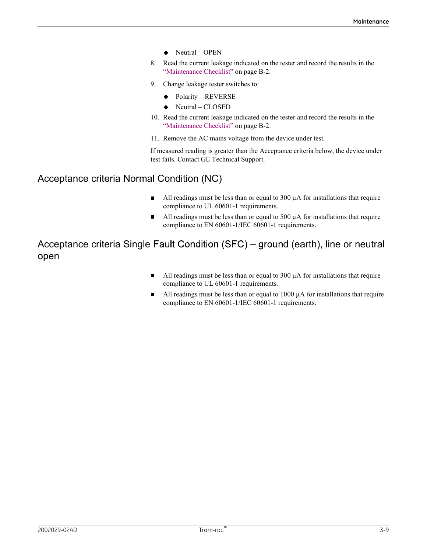- $\blacklozenge$  Neutral OPEN
- Maintenance<br>
Neutral OPEN<br>
8. Read the current leakage indicated on the tester and record the results in the<br>
"Maintenance Checklist" on page B-2.<br>
9. Change leakage tester switches to:<br>
◆ Polarity REVERSE<br>
◆ Neutral Maintenance<br>
◆ Neutral – OPEN<br>
Read the current leakage indicated on the tester and record the results in the<br>
"Maintenance Checklist" on page B-2.<br>
Change leakage tester switches to:<br>
◆ Polarity – REVERSE<br>
◆ Neutral – CL
- - Polarity REVERSE
	- $\blacklozenge$  Neutral CLOSED
- Maintenance<br>
 Neutral OPEN<br>
8. Read the current leakage indicated on the tester and record the results in the<br>
"Maintenance Checklist" on page B-2.<br>
9. Change leakage tester switches to:<br>
 Polarity REVERSE<br>
 Neutra
- 

10. Metal – Metal – Metal – Metal – Metal experiment of the tester and record the results in the<br>
10. Read the current leakage indicated on the tester and record the results in the<br>
10. Change leakage tester switches to:<br> Maintenance<br>
Neutral – OPEN<br>
Read the current leakage indicated on the tester and record the results in the<br>
"Maintenance Checklist" on page B-2.<br>
Change leakage tester switches to:<br>
◆ Polarity – REVERSE<br>
◆ Neutral – CLOS Mointenance<br>
11. Read the current leakage indicated on the tester and record the results in the<br>
12. Read the current leakage indicated on the tester and record the results in the<br>
12. Change leakage tester switches to:<br> If measured reading is greater than the Acceptance criteria below, the device under test fails. Contact GE Technical Support.

## Acceptance criteria Normal Condition (NC)

- All readings must be less than or equal to 300  $\mu$ A for installations that require П compliance to UL 60601-1 requirements.
- All readings must be less than or equal to 500  $\mu$ A for installations that require  $\blacksquare$ compliance to EN 60601-1/IEC 60601-1 requirements.

Acceptance criteria Single Fault Condition (SFC) – ground (earth), line or neutral open

- All readings must be less than or equal to  $300 \mu A$  for installations that require  $\blacksquare$ compliance to UL 60601-1 requirements.
- All readings must be less than or equal to  $1000 \mu A$  for installations that require compliance to EN 60601-1/IEC 60601-1 requirements.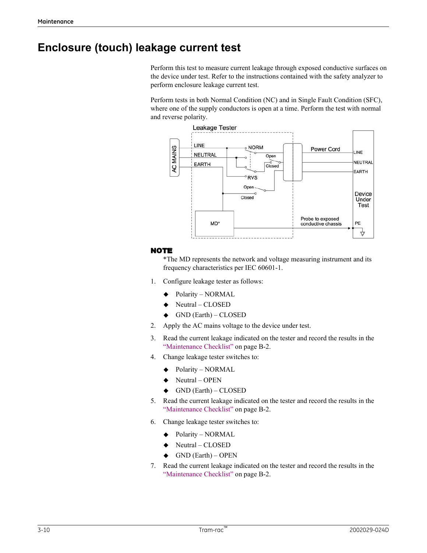## Enclosure (touch) leakage current test

Perform this test to measure current leakage through exposed conductive surfaces on the device under test. Refer to the instructions contained with the safety analyzer to perform enclosure leakage current test.

Perform tests in both Normal Condition (NC) and in Single Fault Condition (SFC), where one of the supply conductors is open at a time. Perform the test with normal and reverse polarity.



### NOTE

\*The MD represents the network and voltage measuring instrument and its frequency characteristics per IEC 60601-1.

- - Polarity NORMAL
	- Neutral CLOSED
	- GND (Earth) CLOSED
- 
- 
- - Polarity NORMAL
	- Neutral OPEN
	- GND (Earth) CLOSED
- 4. Change leakage tester switches to:<br>  $\blacklozenge$  Polarity NORMAL.<br>  $\blacklozenge$  Neural OPEN<br>  $\blacklozenge$  CIVI) (Farth) CLOSED<br>
5. Read the current leakage indicated on the tester and record the results in the<br>
"Maintenance Che TE<br>
TE<br>
THE<br>
<sup>\*</sup>The MD represents the network and voltage measuring instrument and its<br>
frequency characteristics per IEC 60601-1.<br>
<br> **Configure leakage tester as follows:**<br>
<br> **Configure leakage tester as follows:**<br>
<br>
Neu **NOTE**<br>
\*The MD represents the network and voltage measuring instrument and its<br>
frequency characteristies per IEC 60601-1.<br>
1. Configure leakage tester as follows:<br>
<br>
★ Charity – NORMAL<br>
★ Charth) – CLOSED<br>
2. Apply the **7.** Polarity – NORMAL<br>
→ Neutral – CLOSED<br>
→ GND (Earth) – CLOSED<br>
2. Apply the AC mains voltage to the device under test.<br>
2. Read the current leakage indicated on the tester and record the results in the<br>
"Maintenance • Polarity – NORMAL<br>
• Neutral – CLOSED<br>
• GiVID (Earth) – CLOSED<br>
Apply the AC mains voltage to the device under test.<br>
Read the current leakage indicated on the tester and record the results in the<br>
"Maintenance Checkli
	- - Polarity NORMAL
		- Neutral CLOSED
		- GND (Earth) OPEN
	-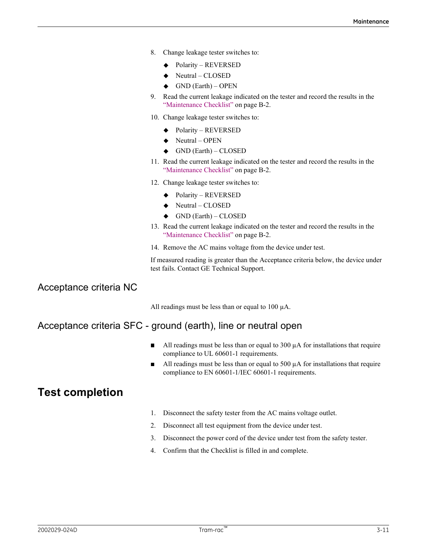- - Polarity REVERSED
	- ◆ Neutral CLOSED
	- GND (Earth) OPEN
- Maintenance<br>
8. Change leakage tester switches to:<br>  $\leftrightarrow$  Polarity REVERSED<br>  $\leftrightarrow$  Neutral CLOSED<br>  $\leftrightarrow$  GND (Earth) OPEN<br>
9. Read the current leakage indicated on the tester and record the results in the Maintenance<br>
9. Change leakage tester switches to:<br>
9. Polarity – REVERSED<br>
9. GND (Earth) – OPEN<br>
9. Read the current leakage indicated on the tester and record the results in the<br>
"Maintenance Checklist" on page B-2.<br>
1 Maintenance<br>
Change leakage tester switches to:<br>  $\rightarrow$  Polarity – REVERSED<br>  $\rightarrow$  GND (Earth) – OPEN<br>
Read the current leakage indicated on the tester and record the results in the<br>
Read the current leakage indicated on the Mointenance<br>
10. Change leakage tester switches to:<br>
10. Polarity – REVERSED<br>
10. Change leakage indicated on the tester and record the results in the<br>
10. Change leakage tester switches to:<br>
10. Change leakage tester swi **11. Read the current leakage indicated on the tester and record the results in the Polarity – REVIRSED**<br> **41. Read the current leakage indicated on the tester and record the results in the "Maintenance Checklist" on page** Maintenance<br>
Change leakage tester switches to:<br>
• Polarity – REVERSED<br>
• Neutral – CLOSED<br>
• GND (Earth) – OPEN<br>
Read the current leakage indicated on the tester and record the results in the<br>
"Maintenance Checklist" on p Mointenance<br>
8. Change leakage tester switches to:<br>  $\blacktriangleright$  Polarity – REVERSED<br>  $\blacktriangleright$  Neutral – CLOSED<br>  $\blacktriangleright$  Read the current leakage indicated on the tester and record the results in the<br>
"Maintenance Checklist" on
- - ◆ Polarity REVERSED
	- $\blacklozenge$  Neutral OPEN
	- $\blacklozenge$  GND (Earth) CLOSED
- 
- - ◆ Polarity REVERSED
	- ◆ Neutral CLOSED
	- $\triangleleft$  GND (Earth) CLOSED
- 
- 

8. Change leakage tester switches to:<br>  $\blacktriangleright$  Polarity – REVERSED<br>  $\blacktriangleright$  Read the current leakage indicated on the tester and record the results in the<br>
"Maintenance Checklist" on page B-2.<br>
10. Change leakage tester Change leading the stead of the deception of the computer of  $\bullet$  Neutral – CLOSED<br>
A Neutral – CLOSED<br>
Meath entern the change indicated on the tester and record the results in the<br>
Read the current leakage indicated on 14. Remove the AC mains voltage from the device under test. If measured reading is greater than the Acceptance criteria below, the device under test fails. Contact GE Technical Support.

Acceptance criteria NC

All readings must be less than or equal to  $100 \mu A$ .

### Acceptance criteria SFC - ground (earth), line or neutral open

- All readings must be less than or equal to  $300 \mu A$  for installations that require compliance to UL 60601-1 requirements.
- compliance to UL 60601-1 requirements.<br> **EXECOMPLETE:**<br>
20021-1 Propries a Markov and the set star or equal to 500  $\mu$ A for installations that require<br>
200201-12 C06001-12 C0601-12 C0601-1 requirements.<br>
2002029-024D Tra All readings must be less than or equal to 500  $\mu$ A for installations that require compliance to EN 60601-1/IEC 60601-1 requirements. "Maintenance Checklist" on page B-2.<br>
14. Remove the AC mains voltage from the device under test.<br>
If measured reading is greater than the Acceptance criteria below, the device under<br>
test fails. Contact GE Technical Supp 14. Remove the AC mains voltage from the device under test.<br>
If measured reading is greater than the Acceptance criteria below, the device under<br>
test fails. Contact GE Technical Support.<br>
All readings must be less than o If measured reading is greater than the Acceptance criteria below, the device under<br>test fails. Contact GE Technical Support.<br>All readings must be less than or equal to 100  $\mu$ A.<br>**Ground (earth)**, **line or neutral open**<br> All readings must be less than or equal to 100  $\mu$ A.<br> **Ground (earth), line or neutral open**<br> **All readings must be less than or equal to 300**  $\mu$ **A for installations that require compliance to UL 60601-1 requirements.<br>
A**

## Test completion

- 
- 
- 
-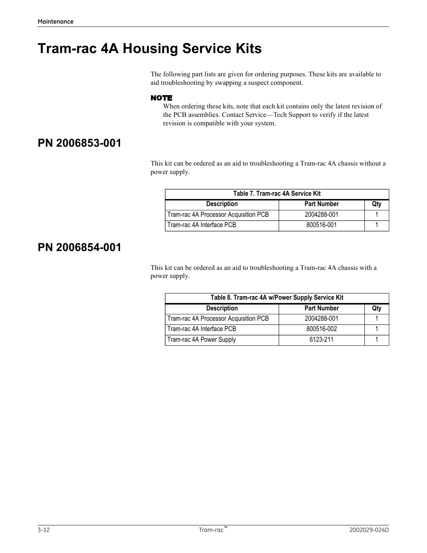# Tram-rac 4A Housing Service Kits

The following part lists are given for ordering purposes. These kits are available to aid troubleshooting by swapping a suspect component.

### NOTE

## PN 2006853-001

This kit can be ordered as an aid to troubleshooting a Tram-rac 4A chassis without a power supply.

| following part lists are given for ordering purposes. These kits are available to<br>troubleshooting by swapping a suspect component.<br>Table 7. Tram-rac 4A Service Kit                                                                                                                                          | ng Service Kits    |                    |     |
|--------------------------------------------------------------------------------------------------------------------------------------------------------------------------------------------------------------------------------------------------------------------------------------------------------------------|--------------------|--------------------|-----|
| TE<br>When ordering these kits, note that each kit contains only the latest revision of<br>the PCB assemblies. Contact Service-Tech Support to verify if the latest<br>revision is compatible with your system.<br>s kit can be ordered as an aid to troubleshooting a Tram-rac 4A chassis without a<br>er supply. |                    |                    |     |
|                                                                                                                                                                                                                                                                                                                    |                    |                    |     |
|                                                                                                                                                                                                                                                                                                                    |                    |                    |     |
|                                                                                                                                                                                                                                                                                                                    | <b>Description</b> | <b>Part Number</b> | Qty |
| Tram-rac 4A Processor Acquisition PCB<br>2004288-001                                                                                                                                                                                                                                                               |                    |                    |     |

## PN 2006854-001

This kit can be ordered as an aid to troubleshooting a Tram-rac 4A chassis with a power supply.

| Table 7. Tram-rac 4A Service Kit                                                                                                                |                    |              |
|-------------------------------------------------------------------------------------------------------------------------------------------------|--------------------|--------------|
| <b>Description</b>                                                                                                                              | <b>Part Number</b> | Qty          |
| Tram-rac 4A Processor Acquisition PCB                                                                                                           | 2004288-001        | $\mathbf{1}$ |
| Tram-rac 4A Interface PCB                                                                                                                       | 800516-001         |              |
|                                                                                                                                                 |                    | $\mathbf{1}$ |
| s kit can be ordered as an aid to troubleshooting a Tram-rac 4A chassis with a<br>er supply.<br>Table 8. Tram-rac 4A w/Power Supply Service Kit |                    |              |
| <b>Description</b>                                                                                                                              | <b>Part Number</b> | Qty          |
| Tram-rac 4A Processor Acquisition PCB                                                                                                           | 2004288-001        | $\mathbf{1}$ |
| Tram-rac 4A Interface PCB                                                                                                                       | 800516-002         | $\mathbf{1}$ |